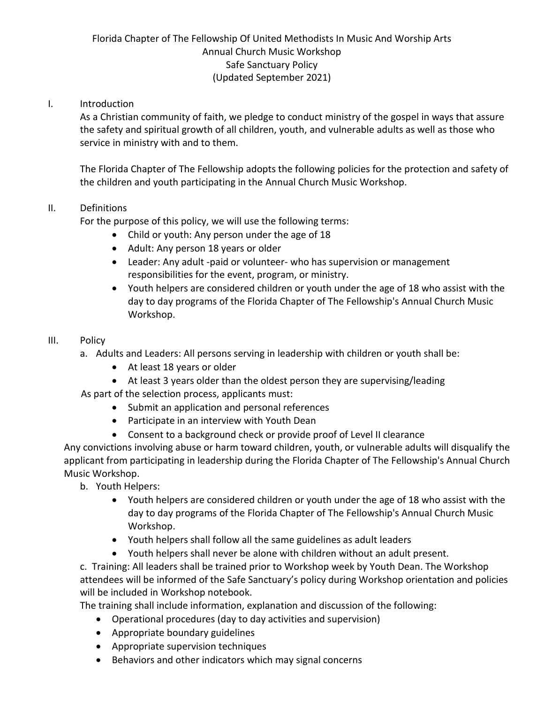# Florida Chapter of The Fellowship Of United Methodists In Music And Worship Arts Annual Church Music Workshop Safe Sanctuary Policy (Updated September 2021)

## I. Introduction

As a Christian community of faith, we pledge to conduct ministry of the gospel in ways that assure the safety and spiritual growth of all children, youth, and vulnerable adults as well as those who service in ministry with and to them.

The Florida Chapter of The Fellowship adopts the following policies for the protection and safety of the children and youth participating in the Annual Church Music Workshop.

#### II. Definitions

For the purpose of this policy, we will use the following terms:

- Child or youth: Any person under the age of 18
- Adult: Any person 18 years or older
- Leader: Any adult -paid or volunteer- who has supervision or management responsibilities for the event, program, or ministry.
- Youth helpers are considered children or youth under the age of 18 who assist with the day to day programs of the Florida Chapter of The Fellowship's Annual Church Music Workshop.

#### III. Policy

- a. Adults and Leaders: All persons serving in leadership with children or youth shall be:
	- At least 18 years or older
	- At least 3 years older than the oldest person they are supervising/leading

As part of the selection process, applicants must:

- Submit an application and personal references
- Participate in an interview with Youth Dean
- Consent to a background check or provide proof of Level II clearance

Any convictions involving abuse or harm toward children, youth, or vulnerable adults will disqualify the applicant from participating in leadership during the Florida Chapter of The Fellowship's Annual Church Music Workshop.

- b. Youth Helpers:
	- Youth helpers are considered children or youth under the age of 18 who assist with the day to day programs of the Florida Chapter of The Fellowship's Annual Church Music Workshop.
	- Youth helpers shall follow all the same guidelines as adult leaders
	- Youth helpers shall never be alone with children without an adult present.

c. Training: All leaders shall be trained prior to Workshop week by Youth Dean. The Workshop attendees will be informed of the Safe Sanctuary's policy during Workshop orientation and policies will be included in Workshop notebook.

The training shall include information, explanation and discussion of the following:

- Operational procedures (day to day activities and supervision)
- Appropriate boundary guidelines
- Appropriate supervision techniques
- Behaviors and other indicators which may signal concerns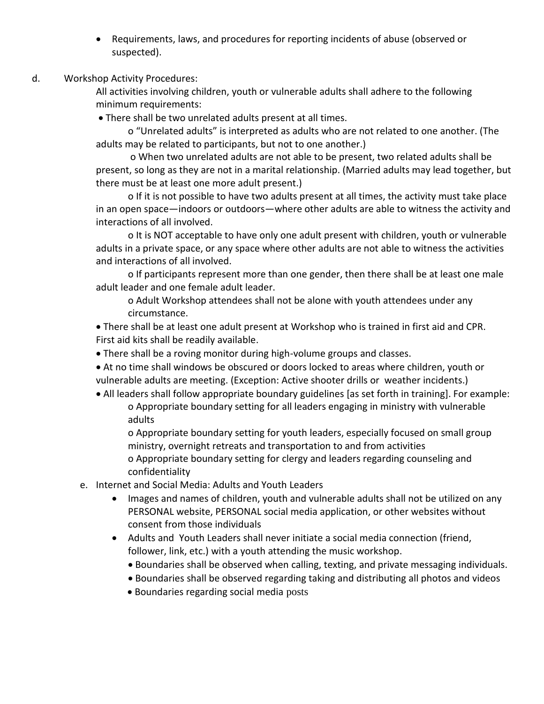Requirements, laws, and procedures for reporting incidents of abuse (observed or suspected).

### d. Workshop Activity Procedures:

All activities involving children, youth or vulnerable adults shall adhere to the following minimum requirements:

There shall be two unrelated adults present at all times.

o "Unrelated adults" is interpreted as adults who are not related to one another. (The adults may be related to participants, but not to one another.)

o When two unrelated adults are not able to be present, two related adults shall be present, so long as they are not in a marital relationship. (Married adults may lead together, but there must be at least one more adult present.)

o If it is not possible to have two adults present at all times, the activity must take place in an open space—indoors or outdoors—where other adults are able to witness the activity and interactions of all involved.

o It is NOT acceptable to have only one adult present with children, youth or vulnerable adults in a private space, or any space where other adults are not able to witness the activities and interactions of all involved.

o If participants represent more than one gender, then there shall be at least one male adult leader and one female adult leader.

o Adult Workshop attendees shall not be alone with youth attendees under any circumstance.

 There shall be at least one adult present at Workshop who is trained in first aid and CPR. First aid kits shall be readily available.

- There shall be a roving monitor during high-volume groups and classes.
- At no time shall windows be obscured or doors locked to areas where children, youth or vulnerable adults are meeting. (Exception: Active shooter drills or weather incidents.)
- All leaders shall follow appropriate boundary guidelines [as set forth in training]. For example: o Appropriate boundary setting for all leaders engaging in ministry with vulnerable adults

o Appropriate boundary setting for youth leaders, especially focused on small group ministry, overnight retreats and transportation to and from activities o Appropriate boundary setting for clergy and leaders regarding counseling and confidentiality

- e. Internet and Social Media: Adults and Youth Leaders
	- Images and names of children, youth and vulnerable adults shall not be utilized on any PERSONAL website, PERSONAL social media application, or other websites without consent from those individuals
	- Adults and Youth Leaders shall never initiate a social media connection (friend, follower, link, etc.) with a youth attending the music workshop.
		- Boundaries shall be observed when calling, texting, and private messaging individuals.
		- Boundaries shall be observed regarding taking and distributing all photos and videos
		- Boundaries regarding social media posts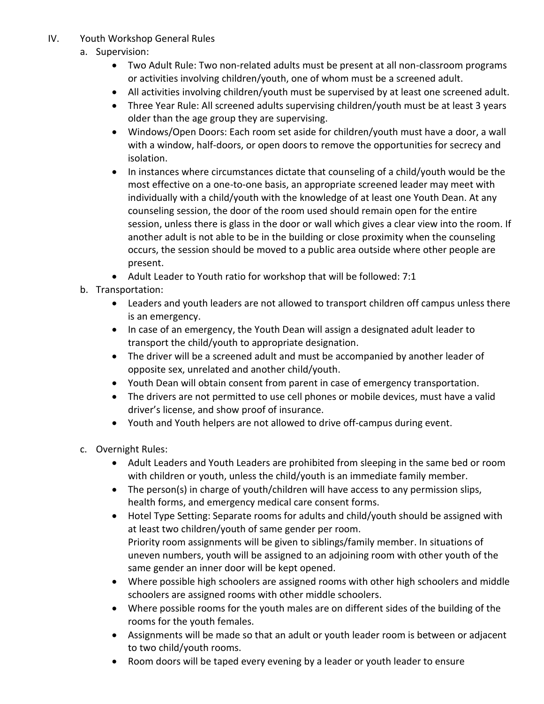- IV. Youth Workshop General Rules
	- a. Supervision:
		- Two Adult Rule: Two non-related adults must be present at all non-classroom programs or activities involving children/youth, one of whom must be a screened adult.
		- All activities involving children/youth must be supervised by at least one screened adult.
		- Three Year Rule: All screened adults supervising children/youth must be at least 3 years older than the age group they are supervising.
		- Windows/Open Doors: Each room set aside for children/youth must have a door, a wall with a window, half-doors, or open doors to remove the opportunities for secrecy and isolation.
		- In instances where circumstances dictate that counseling of a child/youth would be the most effective on a one-to-one basis, an appropriate screened leader may meet with individually with a child/youth with the knowledge of at least one Youth Dean. At any counseling session, the door of the room used should remain open for the entire session, unless there is glass in the door or wall which gives a clear view into the room. If another adult is not able to be in the building or close proximity when the counseling occurs, the session should be moved to a public area outside where other people are present.
		- Adult Leader to Youth ratio for workshop that will be followed: 7:1
	- b. Transportation:
		- Leaders and youth leaders are not allowed to transport children off campus unless there is an emergency.
		- In case of an emergency, the Youth Dean will assign a designated adult leader to transport the child/youth to appropriate designation.
		- The driver will be a screened adult and must be accompanied by another leader of opposite sex, unrelated and another child/youth.
		- Youth Dean will obtain consent from parent in case of emergency transportation.
		- The drivers are not permitted to use cell phones or mobile devices, must have a valid driver's license, and show proof of insurance.
		- Youth and Youth helpers are not allowed to drive off-campus during event.
	- c. Overnight Rules:
		- Adult Leaders and Youth Leaders are prohibited from sleeping in the same bed or room with children or youth, unless the child/youth is an immediate family member.
		- The person(s) in charge of youth/children will have access to any permission slips, health forms, and emergency medical care consent forms.
		- Hotel Type Setting: Separate rooms for adults and child/youth should be assigned with at least two children/youth of same gender per room. Priority room assignments will be given to siblings/family member. In situations of uneven numbers, youth will be assigned to an adjoining room with other youth of the same gender an inner door will be kept opened.
		- Where possible high schoolers are assigned rooms with other high schoolers and middle schoolers are assigned rooms with other middle schoolers.
		- Where possible rooms for the youth males are on different sides of the building of the rooms for the youth females.
		- Assignments will be made so that an adult or youth leader room is between or adjacent to two child/youth rooms.
		- Room doors will be taped every evening by a leader or youth leader to ensure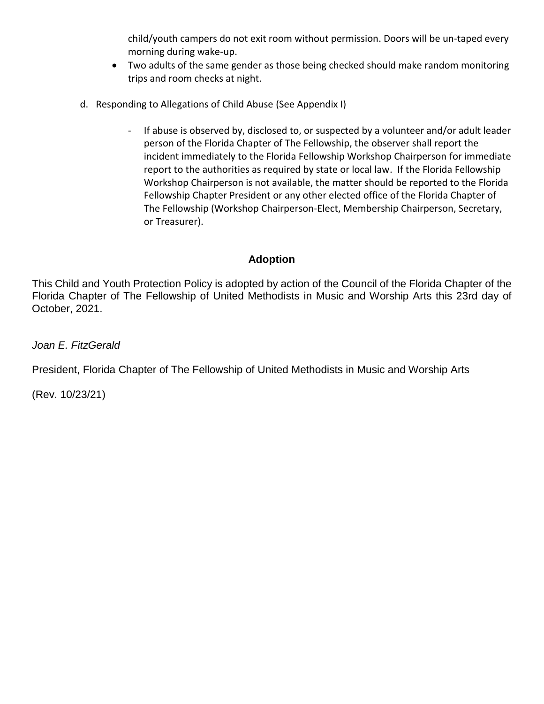child/youth campers do not exit room without permission. Doors will be un-taped every morning during wake-up.

- Two adults of the same gender as those being checked should make random monitoring trips and room checks at night.
- d. Responding to Allegations of Child Abuse (See Appendix I)
	- If abuse is observed by, disclosed to, or suspected by a volunteer and/or adult leader person of the Florida Chapter of The Fellowship, the observer shall report the incident immediately to the Florida Fellowship Workshop Chairperson for immediate report to the authorities as required by state or local law. If the Florida Fellowship Workshop Chairperson is not available, the matter should be reported to the Florida Fellowship Chapter President or any other elected office of the Florida Chapter of The Fellowship (Workshop Chairperson-Elect, Membership Chairperson, Secretary, or Treasurer).

# **Adoption**

This Child and Youth Protection Policy is adopted by action of the Council of the Florida Chapter of the Florida Chapter of The Fellowship of United Methodists in Music and Worship Arts this 23rd day of October, 2021.

*Joan E. FitzGerald*

President, Florida Chapter of The Fellowship of United Methodists in Music and Worship Arts

(Rev. 10/23/21)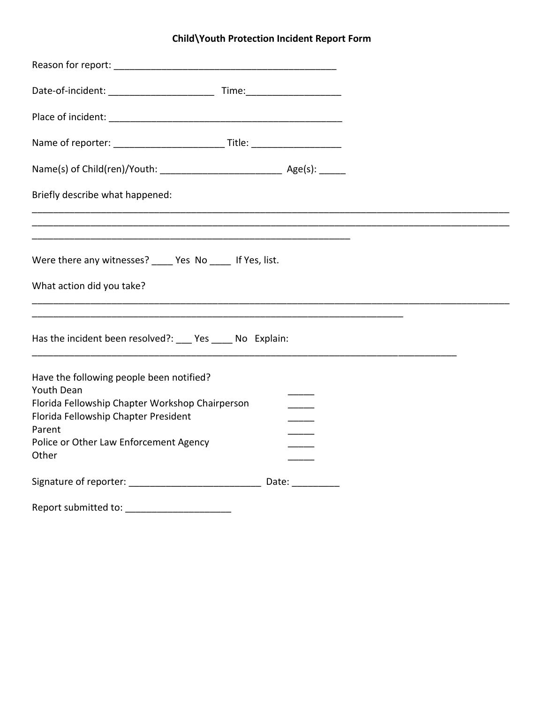# **Child\Youth Protection Incident Report Form**

| Briefly describe what happened:                                                                                                                                                                                       |  |
|-----------------------------------------------------------------------------------------------------------------------------------------------------------------------------------------------------------------------|--|
|                                                                                                                                                                                                                       |  |
| Were there any witnesses? _____ Yes No _____ If Yes, list.                                                                                                                                                            |  |
| What action did you take?                                                                                                                                                                                             |  |
| Has the incident been resolved?: ____ Yes _____ No Explain:                                                                                                                                                           |  |
| Have the following people been notified?<br><b>Youth Dean</b><br>Florida Fellowship Chapter Workshop Chairperson<br>Florida Fellowship Chapter President<br>Parent<br>Police or Other Law Enforcement Agency<br>Other |  |
| Signature of reporter: ___________________________________ Date: _______________                                                                                                                                      |  |
| Report submitted to:                                                                                                                                                                                                  |  |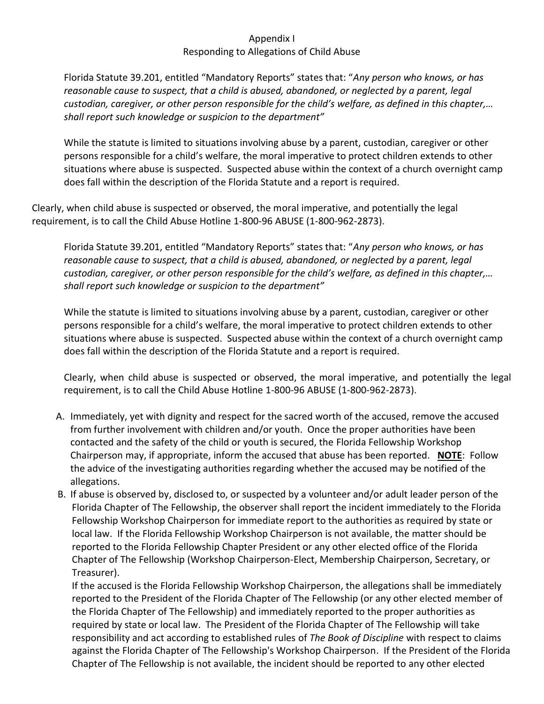### Appendix I Responding to Allegations of Child Abuse

Florida Statute 39.201, entitled "Mandatory Reports" states that: "*Any person who knows, or has reasonable cause to suspect, that a child is abused, abandoned, or neglected by a parent, legal custodian, caregiver, or other person responsible for the child's welfare, as defined in this chapter,… shall report such knowledge or suspicion to the department"*

While the statute is limited to situations involving abuse by a parent, custodian, caregiver or other persons responsible for a child's welfare, the moral imperative to protect children extends to other situations where abuse is suspected. Suspected abuse within the context of a church overnight camp does fall within the description of the Florida Statute and a report is required.

Clearly, when child abuse is suspected or observed, the moral imperative, and potentially the legal requirement, is to call the Child Abuse Hotline 1-800-96 ABUSE (1-800-962-2873).

Florida Statute 39.201, entitled "Mandatory Reports" states that: "*Any person who knows, or has reasonable cause to suspect, that a child is abused, abandoned, or neglected by a parent, legal custodian, caregiver, or other person responsible for the child's welfare, as defined in this chapter,… shall report such knowledge or suspicion to the department"*

While the statute is limited to situations involving abuse by a parent, custodian, caregiver or other persons responsible for a child's welfare, the moral imperative to protect children extends to other situations where abuse is suspected. Suspected abuse within the context of a church overnight camp does fall within the description of the Florida Statute and a report is required.

Clearly, when child abuse is suspected or observed, the moral imperative, and potentially the legal requirement, is to call the Child Abuse Hotline 1-800-96 ABUSE (1-800-962-2873).

- A. Immediately, yet with dignity and respect for the sacred worth of the accused, remove the accused from further involvement with children and/or youth. Once the proper authorities have been contacted and the safety of the child or youth is secured, the Florida Fellowship Workshop Chairperson may, if appropriate, inform the accused that abuse has been reported. **NOTE**: Follow the advice of the investigating authorities regarding whether the accused may be notified of the allegations.
- B. If abuse is observed by, disclosed to, or suspected by a volunteer and/or adult leader person of the Florida Chapter of The Fellowship, the observer shall report the incident immediately to the Florida Fellowship Workshop Chairperson for immediate report to the authorities as required by state or local law. If the Florida Fellowship Workshop Chairperson is not available, the matter should be reported to the Florida Fellowship Chapter President or any other elected office of the Florida Chapter of The Fellowship (Workshop Chairperson-Elect, Membership Chairperson, Secretary, or Treasurer).

If the accused is the Florida Fellowship Workshop Chairperson, the allegations shall be immediately reported to the President of the Florida Chapter of The Fellowship (or any other elected member of the Florida Chapter of The Fellowship) and immediately reported to the proper authorities as required by state or local law. The President of the Florida Chapter of The Fellowship will take responsibility and act according to established rules of *The Book of Discipline* with respect to claims against the Florida Chapter of The Fellowship's Workshop Chairperson. If the President of the Florida Chapter of The Fellowship is not available, the incident should be reported to any other elected